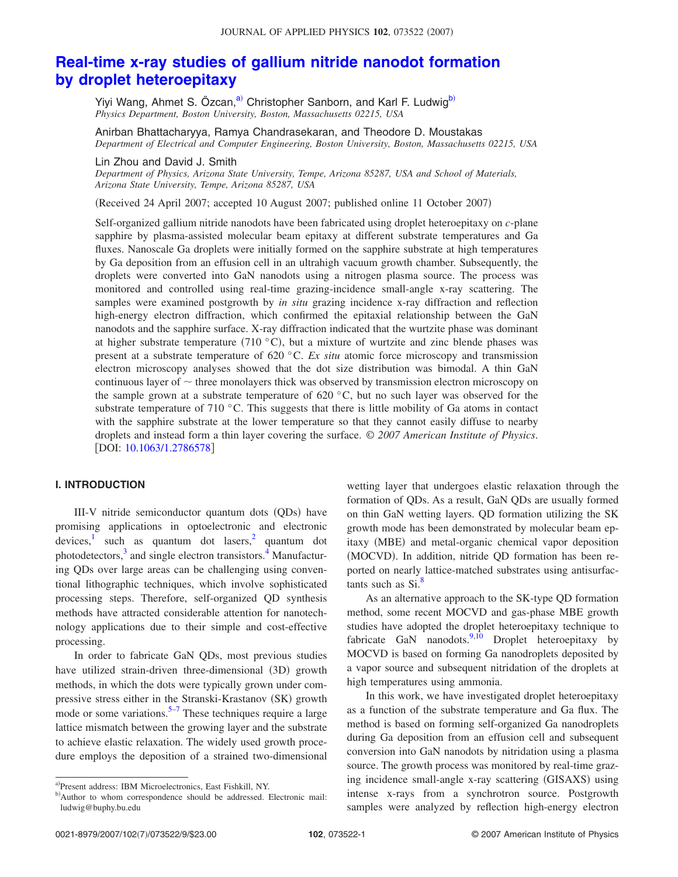# **Real-time x-ray studies of gallium nitride nanodot formation by droplet heteroepitaxy**

Yiyi Wang, Ahmet S. Özcan,<sup>a)</sup> Christopher Sanborn, and Karl F. Ludwig<sup>b)</sup> *Physics Department, Boston University, Boston, Massachusetts 02215, USA*

Anirban Bhattacharyya, Ramya Chandrasekaran, and Theodore D. Moustakas *Department of Electrical and Computer Engineering, Boston University, Boston, Massachusetts 02215, USA*

Lin Zhou and David J. Smith

*Department of Physics, Arizona State University, Tempe, Arizona 85287, USA and School of Materials, Arizona State University, Tempe, Arizona 85287, USA*

Received 24 April 2007; accepted 10 August 2007; published online 11 October 2007-

Self-organized gallium nitride nanodots have been fabricated using droplet heteroepitaxy on *c*-plane sapphire by plasma-assisted molecular beam epitaxy at different substrate temperatures and Ga fluxes. Nanoscale Ga droplets were initially formed on the sapphire substrate at high temperatures by Ga deposition from an effusion cell in an ultrahigh vacuum growth chamber. Subsequently, the droplets were converted into GaN nanodots using a nitrogen plasma source. The process was monitored and controlled using real-time grazing-incidence small-angle x-ray scattering. The samples were examined postgrowth by *in situ* grazing incidence x-ray diffraction and reflection high-energy electron diffraction, which confirmed the epitaxial relationship between the GaN nanodots and the sapphire surface. X-ray diffraction indicated that the wurtzite phase was dominant at higher substrate temperature (710  $^{\circ}$ C), but a mixture of wurtzite and zinc blende phases was present at a substrate temperature of 620 °C. *Ex situ* atomic force microscopy and transmission electron microscopy analyses showed that the dot size distribution was bimodal. A thin GaN continuous layer of  $\sim$  three monolayers thick was observed by transmission electron microscopy on the sample grown at a substrate temperature of  $620\degree C$ , but no such layer was observed for the substrate temperature of 710 °C. This suggests that there is little mobility of Ga atoms in contact with the sapphire substrate at the lower temperature so that they cannot easily diffuse to nearby droplets and instead form a thin layer covering the surface. © *2007 American Institute of Physics*. [DOI:  $10.1063/1.2786578$ ]

#### **I. INTRODUCTION**

III-V nitride semiconductor quantum dots (QDs) have promising applications in optoelectronic and electronic devices, such as quantum dot lasers, quantum dot photodetectors,<sup>3</sup> and single electron transistors.<sup>4</sup> Manufacturing QDs over large areas can be challenging using conventional lithographic techniques, which involve sophisticated processing steps. Therefore, self-organized QD synthesis methods have attracted considerable attention for nanotechnology applications due to their simple and cost-effective processing.

In order to fabricate GaN QDs, most previous studies have utilized strain-driven three-dimensional (3D) growth methods, in which the dots were typically grown under compressive stress either in the Stranski-Krastanov (SK) growth mode or some variations.<sup>5–7</sup> These techniques require a large lattice mismatch between the growing layer and the substrate to achieve elastic relaxation. The widely used growth procedure employs the deposition of a strained two-dimensional wetting layer that undergoes elastic relaxation through the formation of QDs. As a result, GaN QDs are usually formed on thin GaN wetting layers. QD formation utilizing the SK growth mode has been demonstrated by molecular beam epitaxy (MBE) and metal-organic chemical vapor deposition (MOCVD). In addition, nitride QD formation has been reported on nearly lattice-matched substrates using antisurfactants such as  $Si^8$ .

As an alternative approach to the SK-type QD formation method, some recent MOCVD and gas-phase MBE growth studies have adopted the droplet heteroepitaxy technique to fabricate GaN nanodots. $9,10$  Droplet heteroepitaxy by MOCVD is based on forming Ga nanodroplets deposited by a vapor source and subsequent nitridation of the droplets at high temperatures using ammonia.

In this work, we have investigated droplet heteroepitaxy as a function of the substrate temperature and Ga flux. The method is based on forming self-organized Ga nanodroplets during Ga deposition from an effusion cell and subsequent conversion into GaN nanodots by nitridation using a plasma source. The growth process was monitored by real-time grazing incidence small-angle x-ray scattering (GISAXS) using intense x-rays from a synchrotron source. Postgrowth samples were analyzed by reflection high-energy electron

a)Present address: IBM Microelectronics, East Fishkill, NY.

b)Author to whom correspondence should be addressed. Electronic mail: ludwig@buphy.bu.edu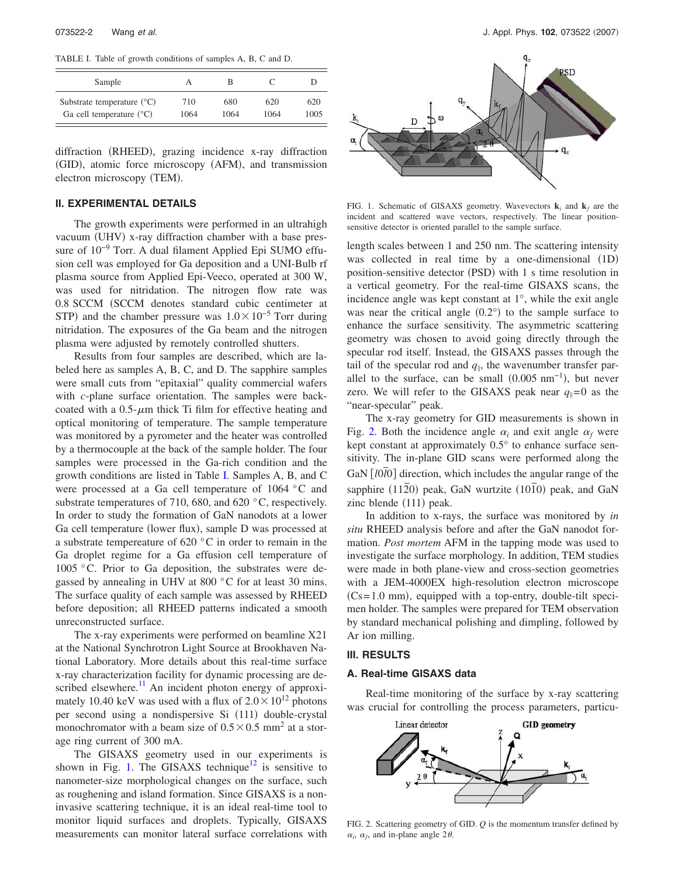TABLE I. Table of growth conditions of samples A, B, C and D.

| Sample                                |      | в    |      |      |
|---------------------------------------|------|------|------|------|
| Substrate temperature $({}^{\circ}C)$ | 710  | 680  | 620  | 620  |
| Ga cell temperature $({}^{\circ}C)$   | 1064 | 1064 | 1064 | 1005 |

diffraction (RHEED), grazing incidence x-ray diffraction (GID), atomic force microscopy (AFM), and transmission electron microscopy (TEM).

#### **II. EXPERIMENTAL DETAILS**

The growth experiments were performed in an ultrahigh vacuum (UHV) x-ray diffraction chamber with a base pressure of 10−9 Torr. A dual filament Applied Epi SUMO effusion cell was employed for Ga deposition and a UNI-Bulb rf plasma source from Applied Epi-Veeco, operated at 300 W, was used for nitridation. The nitrogen flow rate was 0.8 SCCM (SCCM denotes standard cubic centimeter at STP) and the chamber pressure was  $1.0 \times 10^{-5}$  Torr during nitridation. The exposures of the Ga beam and the nitrogen plasma were adjusted by remotely controlled shutters.

Results from four samples are described, which are labeled here as samples A, B, C, and D. The sapphire samples were small cuts from "epitaxial" quality commercial wafers with *c*-plane surface orientation. The samples were backcoated with a  $0.5$ - $\mu$ m thick Ti film for effective heating and optical monitoring of temperature. The sample temperature was monitored by a pyrometer and the heater was controlled by a thermocouple at the back of the sample holder. The four samples were processed in the Ga-rich condition and the growth conditions are listed in Table I. Samples A, B, and C were processed at a Ga cell temperature of 1064 °C and substrate temperatures of 710, 680, and 620 °C, respectively. In order to study the formation of GaN nanodots at a lower Ga cell temperature (lower flux), sample D was processed at a substrate tempereature of 620 °C in order to remain in the Ga droplet regime for a Ga effusion cell temperature of 1005 °C. Prior to Ga deposition, the substrates were degassed by annealing in UHV at 800 °C for at least 30 mins. The surface quality of each sample was assessed by RHEED before deposition; all RHEED patterns indicated a smooth unreconstructed surface.

The x-ray experiments were performed on beamline X21 at the National Synchrotron Light Source at Brookhaven National Laboratory. More details about this real-time surface x-ray characterization facility for dynamic processing are described elsewhere. $\frac{11}{11}$  An incident photon energy of approximately 10.40 keV was used with a flux of  $2.0 \times 10^{12}$  photons per second using a nondispersive Si (111) double-crystal monochromator with a beam size of  $0.5 \times 0.5$  mm<sup>2</sup> at a storage ring current of 300 mA.

The GISAXS geometry used in our experiments is shown in Fig. 1. The GISAXS technique<sup>12</sup> is sensitive to nanometer-size morphological changes on the surface, such as roughening and island formation. Since GISAXS is a noninvasive scattering technique, it is an ideal real-time tool to monitor liquid surfaces and droplets. Typically, GISAXS measurements can monitor lateral surface correlations with



FIG. 1. Schematic of GISAXS geometry. Wavevectors  $\mathbf{k}_i$  and  $\mathbf{k}_f$  are the incident and scattered wave vectors, respectively. The linear positionsensitive detector is oriented parallel to the sample surface.

length scales between 1 and 250 nm. The scattering intensity was collected in real time by a one-dimensional  $(1D)$ position-sensitive detector (PSD) with 1 s time resolution in a vertical geometry. For the real-time GISAXS scans, the incidence angle was kept constant at 1°, while the exit angle was near the critical angle  $(0.2^{\circ})$  to the sample surface to enhance the surface sensitivity. The asymmetric scattering geometry was chosen to avoid going directly through the specular rod itself. Instead, the GISAXS passes through the tail of the specular rod and  $q_{\parallel}$ , the wavenumber transfer parallel to the surface, can be small  $(0.005 \text{ nm}^{-1})$ , but never zero. We will refer to the GISAXS peak near  $q_{\parallel}=0$  as the "near-specular" peak.

The x-ray geometry for GID measurements is shown in Fig. 2. Both the incidence angle  $\alpha_i$  and exit angle  $\alpha_f$  were kept constant at approximately 0.5° to enhance surface sensitivity. The in-plane GID scans were performed along the  $GaN [10I0]$  direction, which includes the angular range of the sapphire (1120) peak, GaN wurtzite (10<sup>1</sup>0) peak, and GaN zinc blende (111) peak.

In addition to x-rays, the surface was monitored by *in situ* RHEED analysis before and after the GaN nanodot formation. *Post mortem* AFM in the tapping mode was used to investigate the surface morphology. In addition, TEM studies were made in both plane-view and cross-section geometries with a JEM-4000EX high-resolution electron microscope  $(Cs=1.0 \text{ mm})$ , equipped with a top-entry, double-tilt specimen holder. The samples were prepared for TEM observation by standard mechanical polishing and dimpling, followed by Ar ion milling.

## **III. RESULTS**

#### **A. Real-time GISAXS data**

Real-time monitoring of the surface by x-ray scattering was crucial for controlling the process parameters, particu-



FIG. 2. Scattering geometry of GID. *Q* is the momentum transfer defined by  $\alpha_i$ ,  $\alpha_f$ , and in-plane angle 2 $\theta$ .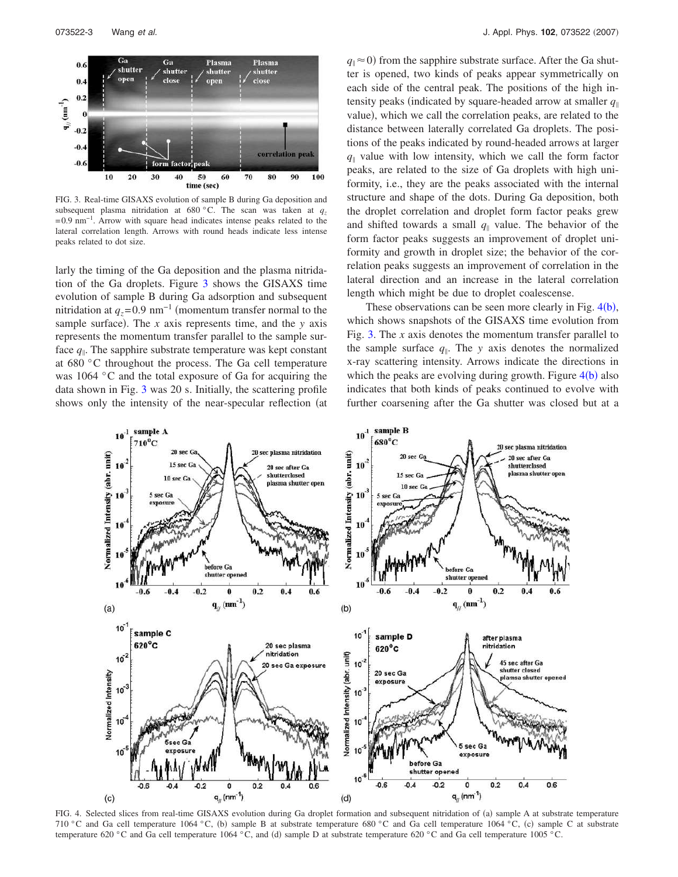

FIG. 3. Real-time GISAXS evolution of sample B during Ga deposition and subsequent plasma nitridation at 680 °C. The scan was taken at  $q<sub>z</sub>$ =0.9 nm−1. Arrow with square head indicates intense peaks related to the lateral correlation length. Arrows with round heads indicate less intense peaks related to dot size.

larly the timing of the Ga deposition and the plasma nitridation of the Ga droplets. Figure 3 shows the GISAXS time evolution of sample B during Ga adsorption and subsequent nitridation at  $q_z$ =0.9 nm<sup>-1</sup> (momentum transfer normal to the sample surface). The  $x$  axis represents time, and the  $y$  axis represents the momentum transfer parallel to the sample surface *q* . The sapphire substrate temperature was kept constant at 680 °C throughout the process. The Ga cell temperature was 1064 °C and the total exposure of Ga for acquiring the data shown in Fig. 3 was 20 s. Initially, the scattering profile shows only the intensity of the near-specular reflection (at

 $q_{\parallel} \approx 0$ ) from the sapphire substrate surface. After the Ga shutter is opened, two kinds of peaks appear symmetrically on each side of the central peak. The positions of the high intensity peaks (indicated by square-headed arrow at smaller  $q_{\parallel}$ value), which we call the correlation peaks, are related to the distance between laterally correlated Ga droplets. The positions of the peaks indicated by round-headed arrows at larger  $q_{\parallel}$  value with low intensity, which we call the form factor peaks, are related to the size of Ga droplets with high uniformity, i.e., they are the peaks associated with the internal structure and shape of the dots. During Ga deposition, both the droplet correlation and droplet form factor peaks grew and shifted towards a small  $q_{\parallel}$  value. The behavior of the form factor peaks suggests an improvement of droplet uniformity and growth in droplet size; the behavior of the correlation peaks suggests an improvement of correlation in the lateral direction and an increase in the lateral correlation length which might be due to droplet coalescense.

These observations can be seen more clearly in Fig.  $4(b)$ , which shows snapshots of the GISAXS time evolution from Fig. 3. The *x* axis denotes the momentum transfer parallel to the sample surface  $q_{\parallel}$ . The *y* axis denotes the normalized x-ray scattering intensity. Arrows indicate the directions in which the peaks are evolving during growth. Figure  $4(b)$  also indicates that both kinds of peaks continued to evolve with further coarsening after the Ga shutter was closed but at a



FIG. 4. Selected slices from real-time GISAXS evolution during Ga droplet formation and subsequent nitridation of (a) sample A at substrate temperature 710 °C and Ga cell temperature 1064 °C, (b) sample B at substrate temperature 680 °C and Ga cell temperature 1064 °C, (c) sample C at substrate temperature 620 °C and Ga cell temperature 1064 °C, and (d) sample D at substrate temperature 620 °C and Ga cell temperature 1005 °C.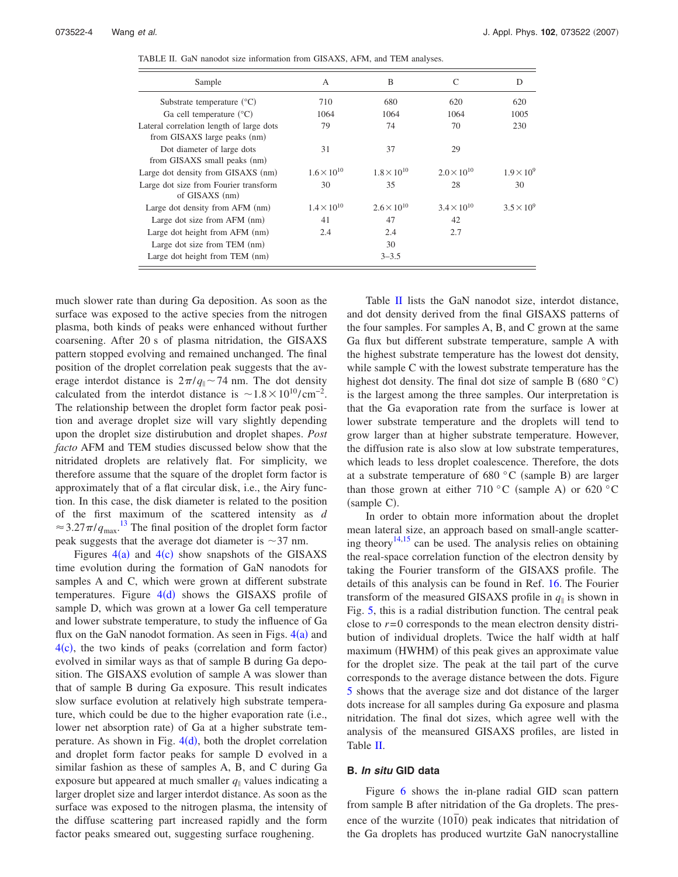| Sample                                                                   | A                    | B                    | C                    | D                   |
|--------------------------------------------------------------------------|----------------------|----------------------|----------------------|---------------------|
| Substrate temperature $({}^{\circ}C)$                                    | 710                  | 680                  | 620                  | 620                 |
| Ga cell temperature $({}^{\circ}C)$                                      | 1064                 | 1064                 | 1064                 | 1005                |
| Lateral correlation length of large dots<br>from GISAXS large peaks (nm) | 79                   | 74                   | 70                   | 230                 |
| Dot diameter of large dots<br>from GISAXS small peaks (nm)               | 31                   | 37                   | 29                   |                     |
| Large dot density from GISAXS (nm)                                       | $1.6 \times 10^{10}$ | $1.8 \times 10^{10}$ | $2.0 \times 10^{10}$ | $1.9 \times 10^{9}$ |
| Large dot size from Fourier transform<br>of GISAXS (nm)                  | 30                   | 35                   | 28                   | 30                  |
| Large dot density from AFM (nm)                                          | $1.4 \times 10^{10}$ | $2.6 \times 10^{10}$ | $3.4 \times 10^{10}$ | $3.5 \times 10^{9}$ |
| Large dot size from AFM (nm)                                             | 41                   | 47                   | 42                   |                     |
| Large dot height from AFM (nm)                                           | 2.4                  | 2.4                  | 2.7                  |                     |
| Large dot size from TEM (nm)                                             |                      | 30                   |                      |                     |
| Large dot height from TEM (nm)                                           |                      | $3 - 3.5$            |                      |                     |

TABLE II. GaN nanodot size information from GISAXS, AFM, and TEM analyses.

much slower rate than during Ga deposition. As soon as the surface was exposed to the active species from the nitrogen plasma, both kinds of peaks were enhanced without further coarsening. After 20 s of plasma nitridation, the GISAXS pattern stopped evolving and remained unchanged. The final position of the droplet correlation peak suggests that the average interdot distance is  $2\pi/q_{\parallel} \sim 74$  nm. The dot density calculated from the interdot distance is  $\sim 1.8 \times 10^{10} / \text{cm}^{-2}$ . The relationship between the droplet form factor peak position and average droplet size will vary slightly depending upon the droplet size distirubution and droplet shapes. *Post facto* AFM and TEM studies discussed below show that the nitridated droplets are relatively flat. For simplicity, we therefore assume that the square of the droplet form factor is approximately that of a flat circular disk, i.e., the Airy function. In this case, the disk diameter is related to the position of the first maximum of the scattered intensity as *d*  $\approx$  3.27 $\pi$ / $q_{\text{max}}$ .<sup>13</sup> The final position of the droplet form factor peak suggests that the average dot diameter is  $\sim$ 37 nm.

Figures  $4(a)$  and  $4(c)$  show snapshots of the GISAXS time evolution during the formation of GaN nanodots for samples A and C, which were grown at different substrate temperatures. Figure  $4(d)$  shows the GISAXS profile of sample D, which was grown at a lower Ga cell temperature and lower substrate temperature, to study the influence of Ga flux on the GaN nanodot formation. As seen in Figs.  $4(a)$  and  $4(c)$ , the two kinds of peaks (correlation and form factor) evolved in similar ways as that of sample B during Ga deposition. The GISAXS evolution of sample A was slower than that of sample B during Ga exposure. This result indicates slow surface evolution at relatively high substrate temperature, which could be due to the higher evaporation rate (i.e., lower net absorption rate) of Ga at a higher substrate temperature. As shown in Fig.  $4(d)$ , both the droplet correlation and droplet form factor peaks for sample D evolved in a similar fashion as these of samples A, B, and C during Ga exposure but appeared at much smaller  $q_{\parallel}$  values indicating a larger droplet size and larger interdot distance. As soon as the surface was exposed to the nitrogen plasma, the intensity of the diffuse scattering part increased rapidly and the form factor peaks smeared out, suggesting surface roughening.

Table  $II$  lists the GaN nanodot size, interdot distance, and dot density derived from the final GISAXS patterns of the four samples. For samples A, B, and C grown at the same Ga flux but different substrate temperature, sample A with the highest substrate temperature has the lowest dot density, while sample C with the lowest substrate temperature has the highest dot density. The final dot size of sample B  $(680 °C)$ is the largest among the three samples. Our interpretation is that the Ga evaporation rate from the surface is lower at lower substrate temperature and the droplets will tend to grow larger than at higher substrate temperature. However, the diffusion rate is also slow at low substrate temperatures, which leads to less droplet coalescence. Therefore, the dots at a substrate temperature of  $680 °C$  (sample B) are larger than those grown at either 710  $\rm{^{\circ}C}$  (sample A) or 620  $\rm{^{\circ}C}$ (sample C).

In order to obtain more information about the droplet mean lateral size, an approach based on small-angle scattering theory<sup>14,15</sup> can be used. The analysis relies on obtaining the real-space correlation function of the electron density by taking the Fourier transform of the GISAXS profile. The details of this analysis can be found in Ref. 16. The Fourier transform of the measured GISAXS profile in  $q_{\parallel}$  is shown in Fig. 5, this is a radial distribution function. The central peak close to *r*=0 corresponds to the mean electron density distribution of individual droplets. Twice the half width at half maximum (HWHM) of this peak gives an approximate value for the droplet size. The peak at the tail part of the curve corresponds to the average distance between the dots. Figure 5 shows that the average size and dot distance of the larger dots increase for all samples during Ga exposure and plasma nitridation. The final dot sizes, which agree well with the analysis of the meansured GISAXS profiles, are listed in Table II.

#### **B. In situ GID data**

Figure 6 shows the in-plane radial GID scan pattern from sample B after nitridation of the Ga droplets. The presence of the wurzite  $(10\bar{1}0)$  peak indicates that nitridation of the Ga droplets has produced wurtzite GaN nanocrystalline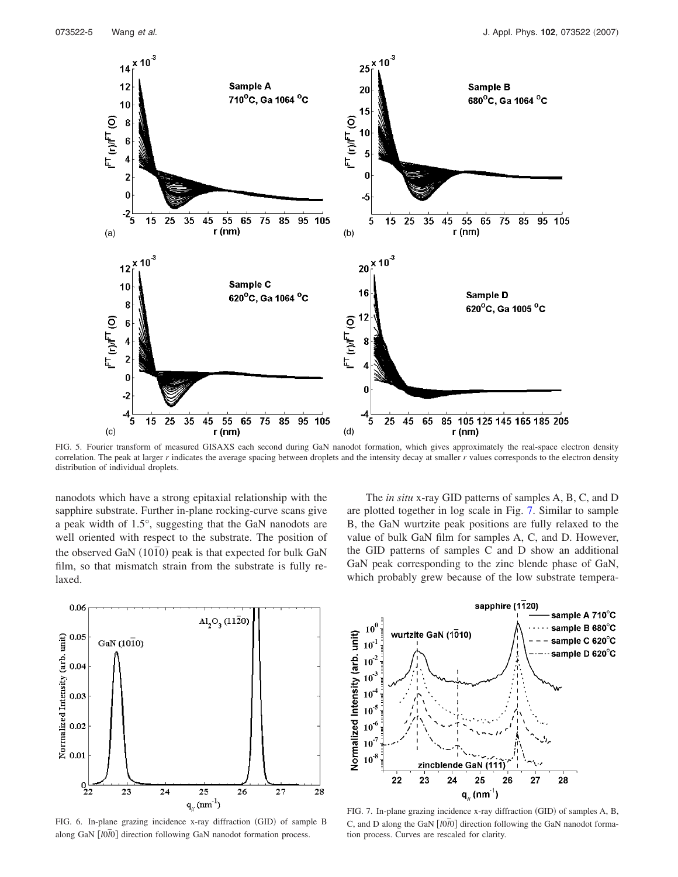

FIG. 5. Fourier transform of measured GISAXS each second during GaN nanodot formation, which gives approximately the real-space electron density correlation. The peak at larger *r* indicates the average spacing between droplets and the intensity decay at smaller *r* values corresponds to the electron density distribution of individual droplets.

nanodots which have a strong epitaxial relationship with the sapphire substrate. Further in-plane rocking-curve scans give a peak width of 1.5°, suggesting that the GaN nanodots are well oriented with respect to the substrate. The position of the observed GaN (10<sup>1</sup><sub>0</sub>) peak is that expected for bulk GaN film, so that mismatch strain from the substrate is fully relaxed.



FIG. 6. In-plane grazing incidence x-ray diffraction (GID) of sample B along GaN *[l0<i>l*0] direction following GaN nanodot formation process.

The *in situ* x-ray GID patterns of samples A, B, C, and D are plotted together in log scale in Fig. 7. Similar to sample B, the GaN wurtzite peak positions are fully relaxed to the value of bulk GaN film for samples A, C, and D. However, the GID patterns of samples C and D show an additional GaN peak corresponding to the zinc blende phase of GaN, which probably grew because of the low substrate tempera-



FIG. 7. In-plane grazing incidence x-ray diffraction (GID) of samples A, B, C, and D along the GaN  $\left[10\overline{10}\right]$  direction following the GaN nanodot formation process. Curves are rescaled for clarity.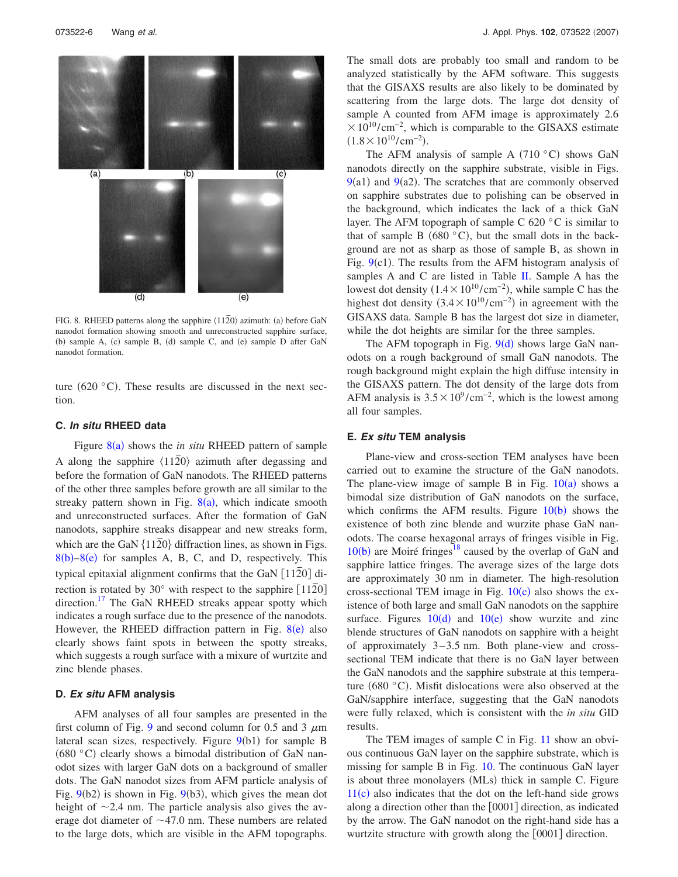

FIG. 8. RHEED patterns along the sapphire  $\langle 11\overline{2}0 \rangle$  azimuth: (a) before GaN nanodot formation showing smooth and unreconstructed sapphire surface, (b) sample A, (c) sample B, (d) sample C, and (e) sample D after GaN nanodot formation.

ture  $(620 °C)$ . These results are discussed in the next section.

#### **C. In situ RHEED data**

Figure 8(a) shows the *in situ* RHEED pattern of sample A along the sapphire  $\langle 11\overline{2}0\rangle$  azimuth after degassing and before the formation of GaN nanodots. The RHEED patterns of the other three samples before growth are all similar to the streaky pattern shown in Fig.  $8(a)$ , which indicate smooth and unreconstructed surfaces. After the formation of GaN nanodots, sapphire streaks disappear and new streaks form, which are the GaN  $\{11\overline{20}\}$  diffraction lines, as shown in Figs.  $8(b)-8(e)$  for samples A, B, C, and D, respectively. This typical epitaxial alignment confirms that the GaN [1120] direction is rotated by 30 $^{\circ}$  with respect to the sapphire [112 $\overline{2}0$ ] direction.<sup>17</sup> The GaN RHEED streaks appear spotty which indicates a rough surface due to the presence of the nanodots. However, the RHEED diffraction pattern in Fig.  $8(e)$  also clearly shows faint spots in between the spotty streaks, which suggests a rough surface with a mixure of wurtzite and zinc blende phases.

#### **D. Ex situ AFM analysis**

AFM analyses of all four samples are presented in the first column of Fig. 9 and second column for 0.5 and 3  $\mu$ m lateral scan sizes, respectively. Figure 9(b1) for sample B  $(680 °C)$  clearly shows a bimodal distribution of GaN nanodot sizes with larger GaN dots on a background of smaller dots. The GaN nanodot sizes from AFM particle analysis of Fig.  $9(b2)$  is shown in Fig.  $9(b3)$ , which gives the mean dot height of  $\sim$ 2.4 nm. The particle analysis also gives the average dot diameter of  $\sim$ 47.0 nm. These numbers are related to the large dots, which are visible in the AFM topographs. The small dots are probably too small and random to be analyzed statistically by the AFM software. This suggests that the GISAXS results are also likely to be dominated by scattering from the large dots. The large dot density of sample A counted from AFM image is approximately 2.6  $\times 10^{10}/\text{cm}^{-2}$ , which is comparable to the GISAXS estimate  $(1.8 \times 10^{10} / \text{cm}^{-2}).$ 

The AFM analysis of sample A  $(710\text{ °C})$  shows GaN nanodots directly on the sapphire substrate, visible in Figs.  $9(a1)$  and  $9(a2)$ . The scratches that are commonly observed on sapphire substrates due to polishing can be observed in the background, which indicates the lack of a thick GaN layer. The AFM topograph of sample C 620 $\degree$ C is similar to that of sample B  $(680 °C)$ , but the small dots in the background are not as sharp as those of sample B, as shown in Fig.  $9(c1)$ . The results from the AFM histogram analysis of samples A and C are listed in Table II. Sample A has the lowest dot density  $(1.4 \times 10^{10} / \text{cm}^{-2})$ , while sample C has the highest dot density  $(3.4 \times 10^{10} / \text{cm}^{-2})$  in agreement with the GISAXS data. Sample B has the largest dot size in diameter, while the dot heights are similar for the three samples.

The AFM topograph in Fig.  $9(d)$  shows large GaN nanodots on a rough background of small GaN nanodots. The rough background might explain the high diffuse intensity in the GISAXS pattern. The dot density of the large dots from AFM analysis is  $3.5 \times 10^9$ /cm<sup>-2</sup>, which is the lowest among all four samples.

#### **E. Ex situ TEM analysis**

Plane-view and cross-section TEM analyses have been carried out to examine the structure of the GaN nanodots. The plane-view image of sample B in Fig.  $10(a)$  shows a bimodal size distribution of GaN nanodots on the surface, which confirms the AFM results. Figure  $10(b)$  shows the existence of both zinc blende and wurzite phase GaN nanodots. The coarse hexagonal arrays of fringes visible in Fig.  $10(b)$  are Moiré fringes<sup>18</sup> caused by the overlap of GaN and sapphire lattice fringes. The average sizes of the large dots are approximately 30 nm in diameter. The high-resolution cross-sectional TEM image in Fig.  $10(c)$  also shows the existence of both large and small GaN nanodots on the sapphire surface. Figures  $10(d)$  and  $10(e)$  show wurzite and zinc blende structures of GaN nanodots on sapphire with a height of approximately 3–3.5 nm. Both plane-view and crosssectional TEM indicate that there is no GaN layer between the GaN nanodots and the sapphire substrate at this temperature (680 $\degree$ C). Misfit dislocations were also observed at the GaN/sapphire interface, suggesting that the GaN nanodots were fully relaxed, which is consistent with the *in situ* GID results.

The TEM images of sample C in Fig. 11 show an obvious continuous GaN layer on the sapphire substrate, which is missing for sample B in Fig. 10. The continuous GaN layer is about three monolayers (MLs) thick in sample C. Figure  $11(c)$  also indicates that the dot on the left-hand side grows along a direction other than the  $[0001]$  direction, as indicated by the arrow. The GaN nanodot on the right-hand side has a wurtzite structure with growth along the [0001] direction.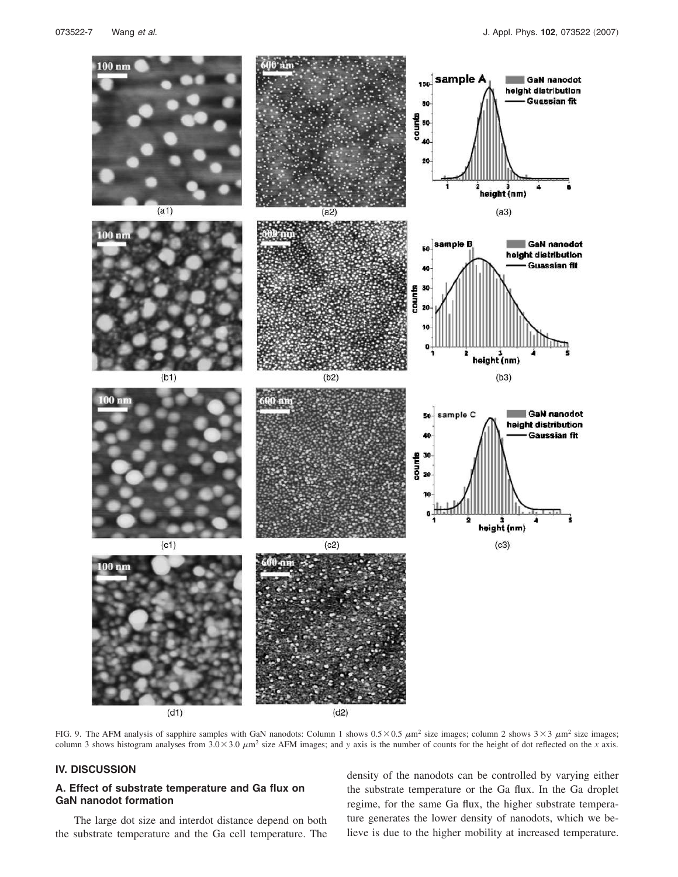

FIG. 9. The AFM analysis of sapphire samples with GaN nanodots: Column 1 shows  $0.5 \times 0.5 \ \mu \text{m}^2$  size images; column 2 shows  $3 \times 3 \ \mu \text{m}^2$  size images; column 3 shows histogram analyses from  $3.0 \times 3.0 \mu m^2$  size AFM images; and *y* axis is the number of counts for the height of dot reflected on the *x* axis.

## **IV. DISCUSSION**

### **A. Effect of substrate temperature and Ga flux on GaN nanodot formation**

The large dot size and interdot distance depend on both the substrate temperature and the Ga cell temperature. The

density of the nanodots can be controlled by varying either the substrate temperature or the Ga flux. In the Ga droplet regime, for the same Ga flux, the higher substrate temperature generates the lower density of nanodots, which we believe is due to the higher mobility at increased temperature.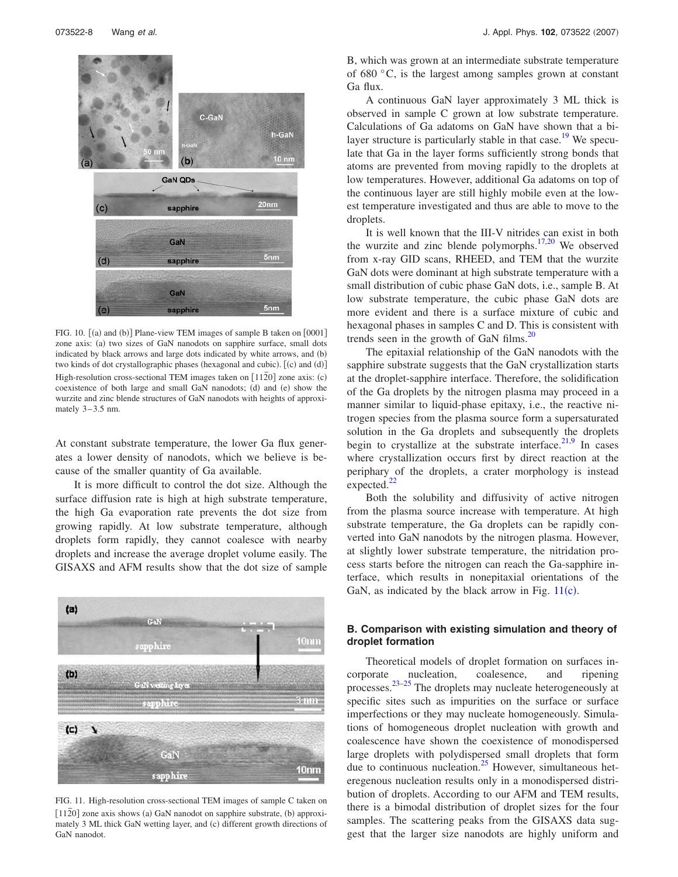

FIG. 10.  $[(a)$  and  $(b)]$  Plane-view TEM images of sample B taken on  $[0001]$ zone axis: (a) two sizes of GaN nanodots on sapphire surface, small dots indicated by black arrows and large dots indicated by white arrows, and (b) two kinds of dot crystallographic phases (hexagonal and cubic). [(c) and (d)] High-resolution cross-sectional TEM images taken on [1120] zone axis: (c) coexistence of both large and small GaN nanodots; (d) and (e) show the wurzite and zinc blende structures of GaN nanodots with heights of approximately  $3-3.5$  nm.

At constant substrate temperature, the lower Ga flux generates a lower density of nanodots, which we believe is because of the smaller quantity of Ga available.

It is more difficult to control the dot size. Although the surface diffusion rate is high at high substrate temperature, the high Ga evaporation rate prevents the dot size from growing rapidly. At low substrate temperature, although droplets form rapidly, they cannot coalesce with nearby droplets and increase the average droplet volume easily. The GISAXS and AFM results show that the dot size of sample



FIG. 11. High-resolution cross-sectional TEM images of sample C taken on 112<sup>o</sup> J zone axis shows (a) GaN nanodot on sapphire substrate, (b) approximately 3 ML thick GaN wetting layer, and (c) different growth directions of GaN nanodot.

B, which was grown at an intermediate substrate temperature of 680 °C, is the largest among samples grown at constant Ga flux.

A continuous GaN layer approximately 3 ML thick is observed in sample C grown at low substrate temperature. Calculations of Ga adatoms on GaN have shown that a bilayer structure is particularly stable in that case.<sup>19</sup> We speculate that Ga in the layer forms sufficiently strong bonds that atoms are prevented from moving rapidly to the droplets at low temperatures. However, additional Ga adatoms on top of the continuous layer are still highly mobile even at the lowest temperature investigated and thus are able to move to the droplets.

It is well known that the III-V nitrides can exist in both the wurzite and zinc blende polymorphs. $17,20$  We observed from x-ray GID scans, RHEED, and TEM that the wurzite GaN dots were dominant at high substrate temperature with a small distribution of cubic phase GaN dots, i.e., sample B. At low substrate temperature, the cubic phase GaN dots are more evident and there is a surface mixture of cubic and hexagonal phases in samples C and D. This is consistent with trends seen in the growth of GaN films. $^{20}$ 

The epitaxial relationship of the GaN nanodots with the sapphire substrate suggests that the GaN crystallization starts at the droplet-sapphire interface. Therefore, the solidification of the Ga droplets by the nitrogen plasma may proceed in a manner similar to liquid-phase epitaxy, i.e., the reactive nitrogen species from the plasma source form a supersaturated solution in the Ga droplets and subsequently the droplets begin to crystallize at the substrate interface. $2^{1,9}$  In cases where crystallization occurs first by direct reaction at the periphary of the droplets, a crater morphology is instead expected.<sup>22</sup>

Both the solubility and diffusivity of active nitrogen from the plasma source increase with temperature. At high substrate temperature, the Ga droplets can be rapidly converted into GaN nanodots by the nitrogen plasma. However, at slightly lower substrate temperature, the nitridation process starts before the nitrogen can reach the Ga-sapphire interface, which results in nonepitaxial orientations of the GaN, as indicated by the black arrow in Fig.  $11(c)$ .

## **B. Comparison with existing simulation and theory of droplet formation**

Theoretical models of droplet formation on surfaces incorporate nucleation, coalesence, and ripening processes.<sup>23–25</sup> The droplets may nucleate heterogeneously at specific sites such as impurities on the surface or surface imperfections or they may nucleate homogeneously. Simulations of homogeneous droplet nucleation with growth and coalescence have shown the coexistence of monodispersed large droplets with polydispersed small droplets that form due to continuous nucleation. $25$  However, simultaneous heteregenous nucleation results only in a monodispersed distribution of droplets. According to our AFM and TEM results, there is a bimodal distribution of droplet sizes for the four samples. The scattering peaks from the GISAXS data suggest that the larger size nanodots are highly uniform and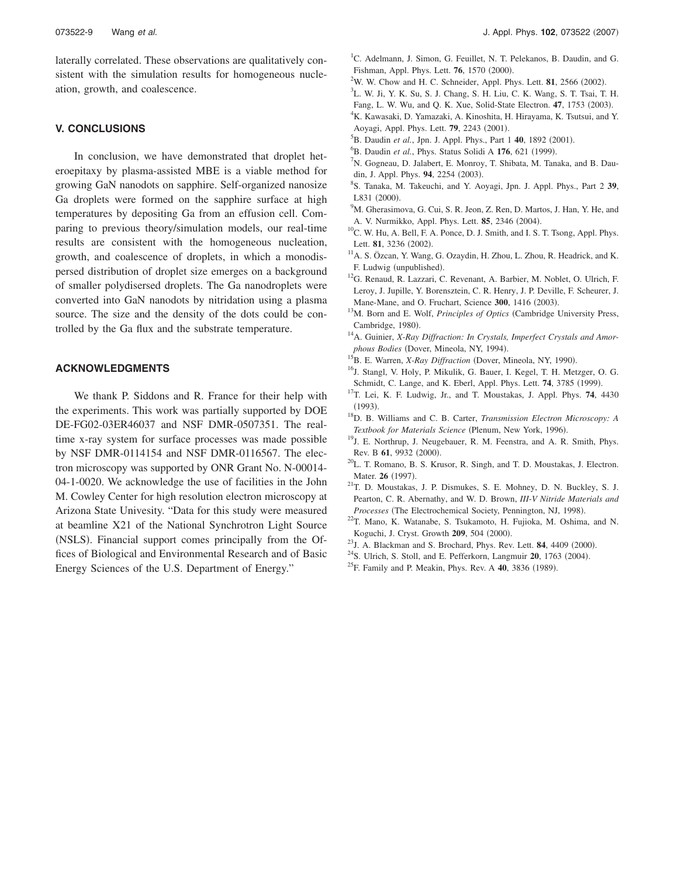laterally correlated. These observations are qualitatively consistent with the simulation results for homogeneous nucleation, growth, and coalescence.

#### **V. CONCLUSIONS**

In conclusion, we have demonstrated that droplet heteroepitaxy by plasma-assisted MBE is a viable method for growing GaN nanodots on sapphire. Self-organized nanosize Ga droplets were formed on the sapphire surface at high temperatures by depositing Ga from an effusion cell. Comparing to previous theory/simulation models, our real-time results are consistent with the homogeneous nucleation, growth, and coalescence of droplets, in which a monodispersed distribution of droplet size emerges on a background of smaller polydisersed droplets. The Ga nanodroplets were converted into GaN nanodots by nitridation using a plasma source. The size and the density of the dots could be controlled by the Ga flux and the substrate temperature.

#### **ACKNOWLEDGMENTS**

We thank P. Siddons and R. France for their help with the experiments. This work was partially supported by DOE DE-FG02-03ER46037 and NSF DMR-0507351. The realtime x-ray system for surface processes was made possible by NSF DMR-0114154 and NSF DMR-0116567. The electron microscopy was supported by ONR Grant No. N-00014- 04-1-0020. We acknowledge the use of facilities in the John M. Cowley Center for high resolution electron microscopy at Arizona State Univesity. "Data for this study were measured at beamline X21 of the National Synchrotron Light Source (NSLS). Financial support comes principally from the Offices of Biological and Environmental Research and of Basic Energy Sciences of the U.S. Department of Energy."

- <sup>1</sup>C. Adelmann, J. Simon, G. Feuillet, N. T. Pelekanos, B. Daudin, and G. Fishman, Appl. Phys. Lett. **76**, 1570 (2000).
- $2W$ . W. Chow and H. C. Schneider, Appl. Phys. Lett. **81**, 2566 (2002).
- 3 L. W. Ji, Y. K. Su, S. J. Chang, S. H. Liu, C. K. Wang, S. T. Tsai, T. H.
- Fang, L. W. Wu, and Q. K. Xue, Solid-State Electron. 47, 1753 (2003). <sup>4</sup>K. Kawasaki, D. Yamazaki, A. Kinoshita, H. Hirayama, K. Tsutsui, and Y.
- Aoyagi, Appl. Phys. Lett. **79**, 2243 (2001).
- <sup>5</sup>B. Daudin et al., Jpn. J. Appl. Phys., Part 1 40, 1892 (2001).
- <sup>6</sup>B. Daudin *et al.*, Phys. Status Solidi A 176, 621 (1999).
- ${}^{7}N$ . Gogneau, D. Jalabert, E. Monroy, T. Shibata, M. Tanaka, and B. Daudin, J. Appl. Phys. 94, 2254 (2003).
- 8 S. Tanaka, M. Takeuchi, and Y. Aoyagi, Jpn. J. Appl. Phys., Part 2 **39**, L831 (2000).
- <sup>9</sup>M. Gherasimova, G. Cui, S. R. Jeon, Z. Ren, D. Martos, J. Han, Y. He, and A. V. Nurmikko, Appl. Phys. Lett. **85**, 2346 (2004).
- <sup>10</sup>C. W. Hu, A. Bell, F. A. Ponce, D. J. Smith, and I. S. T. Tsong, Appl. Phys. Lett. 81, 3236 (2002).
- <sup>11</sup>A. S. Özcan, Y. Wang, G. Ozaydin, H. Zhou, L. Zhou, R. Headrick, and K. F. Ludwig (unpublished).
- <sup>12</sup>G. Renaud, R. Lazzari, C. Revenant, A. Barbier, M. Noblet, O. Ulrich, F. Leroy, J. Jupille, Y. Borensztein, C. R. Henry, J. P. Deville, F. Scheurer, J. Mane-Mane, and O. Fruchart, Science 300, 1416 (2003).
- <sup>13</sup>M. Born and E. Wolf, *Principles of Optics* (Cambridge University Press, Cambridge, 1980).
- <sup>14</sup> A. Guinier, *X-Ray Diffraction: In Crystals, Imperfect Crystals and Amor*phous Bodies (Dover, Mineola, NY, 1994).
- <sup>15</sup>B. E. Warren, *X-Ray Diffraction* (Dover, Mineola, NY, 1990).
- <sup>16</sup>J. Stangl, V. Holy, P. Mikulik, G. Bauer, I. Kegel, T. H. Metzger, O. G. Schmidt, C. Lange, and K. Eberl, Appl. Phys. Lett. **74**, 3785 (1999).
- <sup>17</sup>T. Lei, K. F. Ludwig, Jr., and T. Moustakas, J. Appl. Phys. **74**, 4430  $(1993).$
- <sup>18</sup>D. B. Williams and C. B. Carter, *Transmission Electron Microscopy: A* Textbook for Materials Science (Plenum, New York, 1996).
- <sup>19</sup>J. E. Northrup, J. Neugebauer, R. M. Feenstra, and A. R. Smith, Phys. Rev. B 61, 9932 (2000).
- <sup>20</sup>L. T. Romano, B. S. Krusor, R. Singh, and T. D. Moustakas, J. Electron. Mater. 26 (1997).
- <sup>21</sup>T. D. Moustakas, J. P. Dismukes, S. E. Mohney, D. N. Buckley, S. J. Pearton, C. R. Abernathy, and W. D. Brown, *III-V Nitride Materials and* Processes (The Electrochemical Society, Pennington, NJ, 1998).
- <sup>22</sup>T. Mano, K. Watanabe, S. Tsukamoto, H. Fujioka, M. Oshima, and N. Koguchi, J. Cryst. Growth 209, 504 (2000).
- $^{23}$ J. A. Blackman and S. Brochard, Phys. Rev. Lett. **84**, 4409 (2000).
- <sup>24</sup>S. Ulrich, S. Stoll, and E. Pefferkorn, Langmuir **20**, 1763 (2004).
- <sup>25</sup>F. Family and P. Meakin, Phys. Rev. A **40**, 3836 (1989).